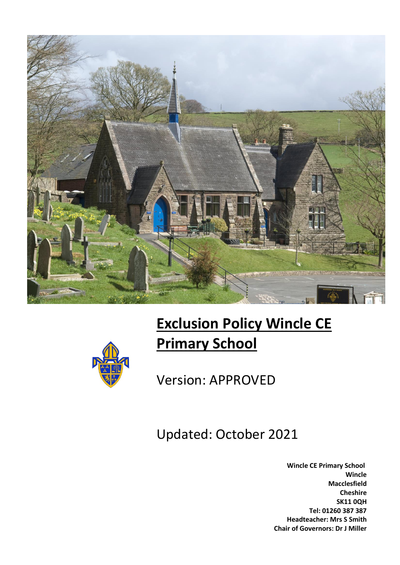

# **Exclusion Policy Wincle CE Primary School**



Version: APPROVED

Updated: October 2021

 **Wincle CE Primary School Wincle Macclesfield Cheshire SK11 0QH Tel: 01260 387 387 Headteacher: Mrs S Smith Chair of Governors: Dr J Miller**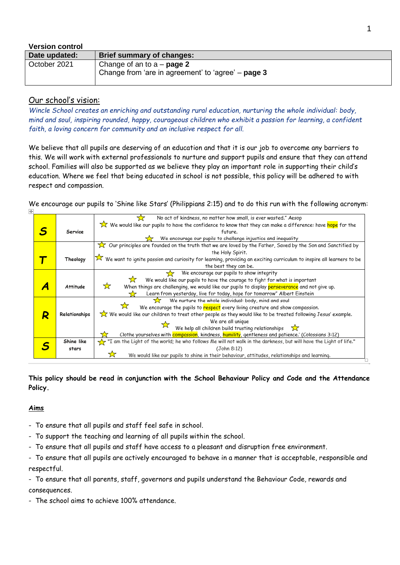| <b>Version control</b> |                                                                                    |
|------------------------|------------------------------------------------------------------------------------|
| Date updated:          | Brief summary of changes:                                                          |
| October 2021           | Change of an to $a - page 2$<br>Change from 'are in agreement' to 'agree' – page 3 |

# Our school's vision:

*Wincle School creates an enriching and outstanding rural education, nurturing the whole individual: body, mind and soul, inspiring rounded, happy, courageous children who exhibit a passion for learning, a confident faith, a loving concern for community and an inclusive respect for all.*

We believe that all pupils are deserving of an education and that it is our job to overcome any barriers to this. We will work with external professionals to nurture and support pupils and ensure that they can attend school. Families will also be supported as we believe they play an important role in supporting their child's education. Where we feel that being educated in school is not possible, this policy will be adhered to with respect and compassion.

We encourage our pupils to 'Shine like Stars' (Philippians 2:15) and to do this run with the following acronym:

|   |                 | No act of kindness, no matter how small, is ever wasted." Aesop                                                      |
|---|-----------------|----------------------------------------------------------------------------------------------------------------------|
|   |                 | We would like our pupils to have the confidence to know that they can make a difference: have hope for the           |
| S | Service         | future.                                                                                                              |
|   |                 | We encourage our pupils to challenge injustice and inequality                                                        |
|   |                 | Our principles are founded on the truth that we are loved by the Father, Saved by the Son and Sanctified by          |
|   |                 | the Holy Spirit.                                                                                                     |
|   | Theology        | We want to ignite passion and curiosity for learning, providing an exciting curriculum to inspire all learners to be |
|   |                 | the best they can be.                                                                                                |
|   |                 | We encourage our pupils to show integrity                                                                            |
|   |                 | We would like our pupils to have the courage to fight for what is important                                          |
|   | <b>Attitude</b> | ☆<br>When things are challenging, we would like our pupils to display perseverance and not give up.                  |
|   |                 | Learn from yesterday, live for today, hope for tomorrow" Albert Einstein                                             |
|   |                 | We nurture the whole individual: body, mind and soul<br>52                                                           |
|   |                 | We encourage the pupils to <b>respect</b> every living creature and show compassion.                                 |
|   | Relationships   | We would like our children to treat other people as they would like to be treated following Jesus' example.          |
|   |                 | We are all unique                                                                                                    |
|   |                 | We help all children build trusting relationships $\sqrt{\phantom{a}}$                                               |
|   |                 | Clothe yourselves with compassion, kindness, humility, gentleness and patience.' (Colossians 3:12)                   |
|   | Shine like      | "I am the Light of the world; he who follows Me will not walk in the darkness, but will have the Light of life."     |
|   | stars           | (John 8:12)                                                                                                          |
|   |                 | We would like our pupils to shine in their behaviour, attitudes, relationships and learning.                         |
|   |                 |                                                                                                                      |

**This policy should be read in conjunction with the School Behaviour Policy and Code and the Attendance Policy.**

## **Aims**

- To ensure that all pupils and staff feel safe in school.
- To support the teaching and learning of all pupils within the school.
- To ensure that all pupils and staff have access to a pleasant and disruption free environment.
- To ensure that all pupils are actively encouraged to behave in a manner that is acceptable, responsible and respectful.

- To ensure that all parents, staff, governors and pupils understand the Behaviour Code, rewards and consequences.

- The school aims to achieve 100% attendance.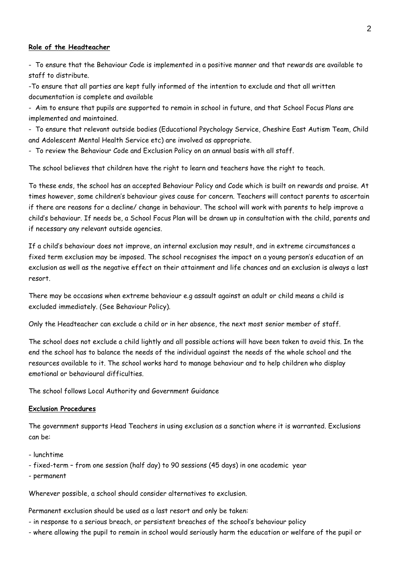### **Role of the Headteacher**

- To ensure that the Behaviour Code is implemented in a positive manner and that rewards are available to staff to distribute.

-To ensure that all parties are kept fully informed of the intention to exclude and that all written documentation is complete and available

- Aim to ensure that pupils are supported to remain in school in future, and that School Focus Plans are implemented and maintained.

- To ensure that relevant outside bodies (Educational Psychology Service, Cheshire East Autism Team, Child and Adolescent Mental Health Service etc) are involved as appropriate.

- To review the Behaviour Code and Exclusion Policy on an annual basis with all staff.

The school believes that children have the right to learn and teachers have the right to teach.

To these ends, the school has an accepted Behaviour Policy and Code which is built on rewards and praise. At times however, some children's behaviour gives cause for concern. Teachers will contact parents to ascertain if there are reasons for a decline/ change in behaviour. The school will work with parents to help improve a child's behaviour. If needs be, a School Focus Plan will be drawn up in consultation with the child, parents and if necessary any relevant outside agencies.

If a child's behaviour does not improve, an internal exclusion may result, and in extreme circumstances a fixed term exclusion may be imposed. The school recognises the impact on a young person's education of an exclusion as well as the negative effect on their attainment and life chances and an exclusion is always a last resort.

There may be occasions when extreme behaviour e.g assault against an adult or child means a child is excluded immediately. (See Behaviour Policy).

Only the Headteacher can exclude a child or in her absence, the next most senior member of staff.

The school does not exclude a child lightly and all possible actions will have been taken to avoid this. In the end the school has to balance the needs of the individual against the needs of the whole school and the resources available to it. The school works hard to manage behaviour and to help children who display emotional or behavioural difficulties.

The school follows Local Authority and Government Guidance

## **Exclusion Procedures**

The government supports Head Teachers in using exclusion as a sanction where it is warranted. Exclusions can be:

- lunchtime
- fixed-term from one session (half day) to 90 sessions (45 days) in one academic year
- permanent

Wherever possible, a school should consider alternatives to exclusion.

Permanent exclusion should be used as a last resort and only be taken:

- in response to a serious breach, or persistent breaches of the school's behaviour policy
- where allowing the pupil to remain in school would seriously harm the education or welfare of the pupil or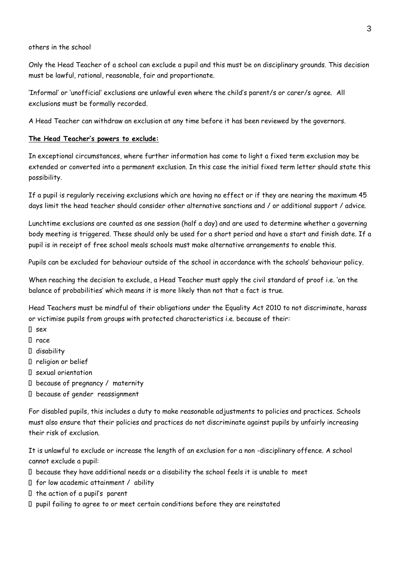#### others in the school

Only the Head Teacher of a school can exclude a pupil and this must be on disciplinary grounds. This decision must be lawful, rational, reasonable, fair and proportionate.

'Informal' or 'unofficial' exclusions are unlawful even where the child's parent/s or carer/s agree. All exclusions must be formally recorded.

A Head Teacher can withdraw an exclusion at any time before it has been reviewed by the governors.

### **The Head Teacher's powers to exclude:**

In exceptional circumstances, where further information has come to light a fixed term exclusion may be extended or converted into a permanent exclusion. In this case the initial fixed term letter should state this possibility.

If a pupil is regularly receiving exclusions which are having no effect or if they are nearing the maximum 45 days limit the head teacher should consider other alternative sanctions and / or additional support / advice.

Lunchtime exclusions are counted as one session (half a day) and are used to determine whether a governing body meeting is triggered. These should only be used for a short period and have a start and finish date. If a pupil is in receipt of free school meals schools must make alternative arrangements to enable this.

Pupils can be excluded for behaviour outside of the school in accordance with the schools' behaviour policy.

When reaching the decision to exclude, a Head Teacher must apply the civil standard of proof i.e. 'on the balance of probabilities' which means it is more likely than not that a fact is true.

Head Teachers must be mindful of their obligations under the Equality Act 2010 to not discriminate, harass or victimise pupils from groups with protected characteristics i.e. because of their:

- $\Box$  sex
- race
- disability
- religion or belief
- sexual orientation
- because of pregnancy / maternity
- because of gender reassignment

For disabled pupils, this includes a duty to make reasonable adjustments to policies and practices. Schools must also ensure that their policies and practices do not discriminate against pupils by unfairly increasing their risk of exclusion.

It is unlawful to exclude or increase the length of an exclusion for a non -disciplinary offence. A school cannot exclude a pupil:

- because they have additional needs or a disability the school feels it is unable to meet
- $\Box$  for low academic attainment / ability
- $\Box$  the action of a pupil's parent
- $\Box$  pupil failing to agree to or meet certain conditions before they are reinstated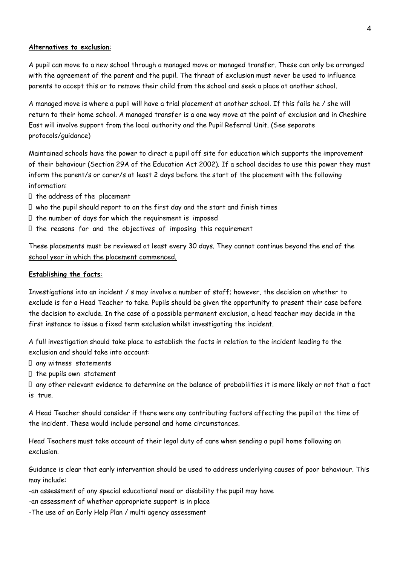## **Alternatives to exclusion**:

A pupil can move to a new school through a managed move or managed transfer. These can only be arranged with the agreement of the parent and the pupil. The threat of exclusion must never be used to influence parents to accept this or to remove their child from the school and seek a place at another school.

A managed move is where a pupil will have a trial placement at another school. If this fails he / she will return to their home school. A managed transfer is a one way move at the point of exclusion and in Cheshire East will involve support from the local authority and the Pupil Referral Unit. (See separate protocols/guidance)

Maintained schools have the power to direct a pupil off site for education which supports the improvement of their behaviour (Section 29A of the Education Act 2002). If a school decides to use this power they must inform the parent/s or carer/s at least 2 days before the start of the placement with the following information:

- $\Box$  the address of the placement
- $\Box$  who the pupil should report to on the first day and the start and finish times
- $I$  the number of days for which the requirement is imposed
- $I$  the reasons for and the objectives of imposing this requirement

These placements must be reviewed at least every 30 days. They cannot continue beyond the end of the school year in which the placement commenced.

### **Establishing the facts**:

Investigations into an incident / s may involve a number of staff; however, the decision on whether to exclude is for a Head Teacher to take. Pupils should be given the opportunity to present their case before the decision to exclude. In the case of a possible permanent exclusion, a head teacher may decide in the first instance to issue a fixed term exclusion whilst investigating the incident.

A full investigation should take place to establish the facts in relation to the incident leading to the exclusion and should take into account:

any witness statements

 $I$  the pupils own statement

 any other relevant evidence to determine on the balance of probabilities it is more likely or not that a fact is true.

A Head Teacher should consider if there were any contributing factors affecting the pupil at the time of the incident. These would include personal and home circumstances.

Head Teachers must take account of their legal duty of care when sending a pupil home following an exclusion.

Guidance is clear that early intervention should be used to address underlying causes of poor behaviour. This may include:

-an assessment of any special educational need or disability the pupil may have

-an assessment of whether appropriate support is in place

-The use of an Early Help Plan / multi agency assessment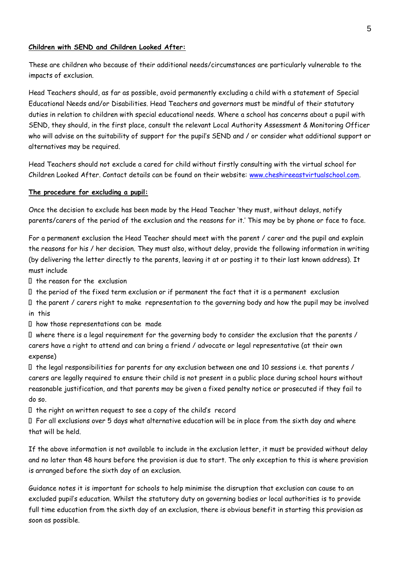#### **Children with SEND and Children Looked After:**

These are children who because of their additional needs/circumstances are particularly vulnerable to the impacts of exclusion.

Head Teachers should, as far as possible, avoid permanently excluding a child with a statement of Special Educational Needs and/or Disabilities. Head Teachers and governors must be mindful of their statutory duties in relation to children with special educational needs. Where a school has concerns about a pupil with SEND, they should, in the first place, consult the relevant Local Authority Assessment & Monitoring Officer who will advise on the suitability of support for the pupil's SEND and / or consider what additional support or alternatives may be required.

Head Teachers should not exclude a cared for child without firstly consulting with the virtual school for Children Looked After. Contact details can be found on their website: [www.cheshireeastvirtualschool.com.](http://www.cheshireeastvirtualschool.com/)

#### **The procedure for excluding a pupil:**

Once the decision to exclude has been made by the Head Teacher 'they must, without delays, notify parents/carers of the period of the exclusion and the reasons for it.' This may be by phone or face to face.

For a permanent exclusion the Head Teacher should meet with the parent / carer and the pupil and explain the reasons for his / her decision. They must also, without delay, provide the following information in writing (by delivering the letter directly to the parents, leaving it at or posting it to their last known address). It must include

 $I$  the reason for the exclusion

 $I$  the period of the fixed term exclusion or if permanent the fact that it is a permanent exclusion

 $\Box$  the parent / carers right to make representation to the governing body and how the pupil may be involved in this

 $\Box$  how those representations can be made

 where there is a legal requirement for the governing body to consider the exclusion that the parents / carers have a right to attend and can bring a friend / advocate or legal representative (at their own expense)

 $\Box$  the legal responsibilities for parents for any exclusion between one and 10 sessions i.e. that parents / carers are legally required to ensure their child is not present in a public place during school hours without reasonable justification, and that parents may be given a fixed penalty notice or prosecuted if they fail to do so.

 $I$  the right on written request to see a copy of the child's record

 For all exclusions over 5 days what alternative education will be in place from the sixth day and where that will be held.

If the above information is not available to include in the exclusion letter, it must be provided without delay and no later than 48 hours before the provision is due to start. The only exception to this is where provision is arranged before the sixth day of an exclusion.

Guidance notes it is important for schools to help minimise the disruption that exclusion can cause to an excluded pupil's education. Whilst the statutory duty on governing bodies or local authorities is to provide full time education from the sixth day of an exclusion, there is obvious benefit in starting this provision as soon as possible.